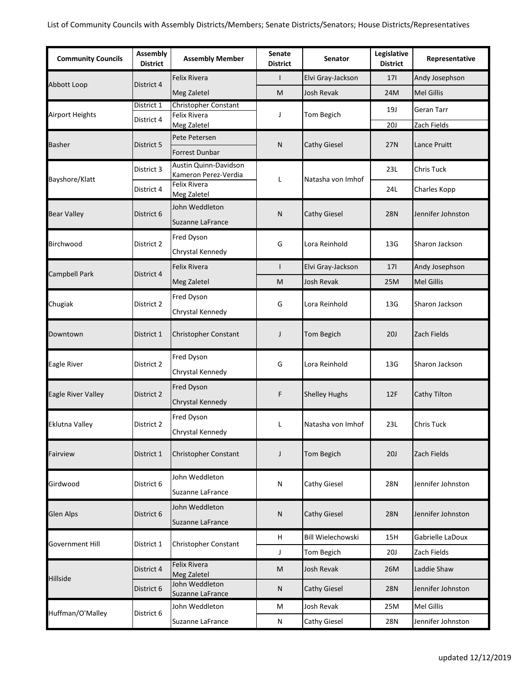| <b>Community Councils</b> | Assembly<br><b>District</b> | <b>Assembly Member</b>                              | <b>Senate</b><br><b>District</b> | <b>Senator</b>           | Legislative<br><b>District</b> | Representative    |
|---------------------------|-----------------------------|-----------------------------------------------------|----------------------------------|--------------------------|--------------------------------|-------------------|
| Abbott Loop               | District 4                  | Felix Rivera                                        | I                                | Elvi Gray-Jackson        | 17 <sub>l</sub>                | Andy Josephson    |
|                           |                             | Meg Zaletel                                         | M                                | Josh Revak               | 24M                            | <b>Mel Gillis</b> |
| <b>Airport Heights</b>    | District 1                  | <b>Christopher Constant</b>                         | J                                |                          | 19J                            | <b>Geran Tarr</b> |
|                           | District 4                  | Felix Rivera<br>Meg Zaletel                         |                                  | Tom Begich               | 20J                            | Zach Fields       |
|                           | District 5                  | Pete Petersen                                       | N                                | <b>Cathy Giesel</b>      | 27N                            | Lance Pruitt      |
| <b>Basher</b>             |                             | Forrest Dunbar                                      |                                  |                          |                                |                   |
|                           | District 3                  | Austin Quinn-Davidson                               | Г                                | Natasha von Imhof        | 23L                            | Chris Tuck        |
| Bayshore/Klatt            | District 4                  | Kameron Perez-Verdia<br>Felix Rivera<br>Meg Zaletel |                                  |                          | 24L                            | Charles Kopp      |
| <b>Bear Valley</b>        | District 6                  | John Weddleton<br>Suzanne LaFrance                  | N                                | <b>Cathy Giesel</b>      | <b>28N</b>                     | Jennifer Johnston |
| Birchwood                 | District 2                  | Fred Dyson<br>Chrystal Kennedy                      | G                                | Lora Reinhold            | 13G                            | Sharon Jackson    |
|                           |                             | <b>Felix Rivera</b>                                 | ı                                | Elvi Gray-Jackson        | 17 <sup>1</sup>                | Andy Josephson    |
| Campbell Park             | District 4                  | Meg Zaletel                                         | M                                | Josh Revak               | 25M                            | <b>Mel Gillis</b> |
| Chugiak                   | District 2                  | Fred Dyson<br>Chrystal Kennedy                      | G                                | Lora Reinhold            | 13G                            | Sharon Jackson    |
| Downtown                  | District 1                  | Christopher Constant                                | J                                | Tom Begich               | 20J                            | Zach Fields       |
| Eagle River               | District 2                  | Fred Dyson<br>Chrystal Kennedy                      | G                                | Lora Reinhold            | 13G                            | Sharon Jackson    |
| Eagle River Valley        | District 2                  | Fred Dyson<br>Chrystal Kennedy                      | F                                | <b>Shelley Hughs</b>     | 12F                            | Cathy Tilton      |
| Eklutna Valley            | District 2                  | Fred Dyson<br>Chrystal Kennedy                      | Г                                | Natasha von Imhof        | 23L                            | <b>Chris Tuck</b> |
| Fairview                  | District 1                  | Christopher Constant                                | J                                | Tom Begich               | 20J                            | Zach Fields       |
| Girdwood                  | District 6                  | John Weddleton<br>Suzanne LaFrance                  | N                                | Cathy Giesel             | <b>28N</b>                     | Jennifer Johnston |
| <b>Glen Alps</b>          | District 6                  | John Weddleton<br>Suzanne LaFrance                  | N                                | <b>Cathy Giesel</b>      | <b>28N</b>                     | Jennifer Johnston |
| <b>Government Hill</b>    | District 1                  | Christopher Constant                                | н                                | <b>Bill Wielechowski</b> | 15H                            | Gabrielle LaDoux  |
|                           |                             |                                                     | J                                | Tom Begich               | <b>20J</b>                     | Zach Fields       |
| Hillside                  | District 4                  | Felix Rivera<br>Meg Zaletel                         | ${\sf M}$                        | Josh Revak               | 26M                            | Laddie Shaw       |
|                           | District 6                  | John Weddleton<br>Suzanne LaFrance                  | Ν                                | Cathy Giesel             | <b>28N</b>                     | Jennifer Johnston |
| Huffman/O'Malley          | District 6                  | John Weddleton                                      | M                                | Josh Revak               | 25M                            | <b>Mel Gillis</b> |
|                           |                             | Suzanne LaFrance                                    | N                                | Cathy Giesel             | 28N                            | Jennifer Johnston |